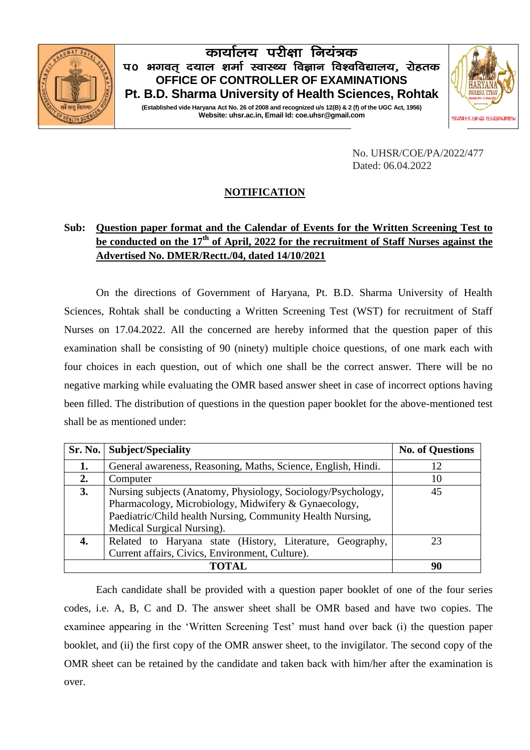

## कार्यालय परीक्षा नियंत्रक प0 भगवत दयाल शर्मा स्वास्थ्य विज्ञान विश्वविद्यालय, रोहतक **OFFICE OF CONTROLLER OF EXAMINATIONS Pt. B.D. Sharma University of Health Sciences, Rohtak**

**(Established vide Haryana Act No. 26 of 2008 and recognized u/s 12(B) & 2 (f) of the UGC Act, 1956) Website: uhsr.ac.in, Email Id: coe.uhsr@gmail.com**



No. UHSR/COE/PA/2022/477 Dated: 06.04.2022

## **NOTIFICATION**

## **Sub: Question paper format and the Calendar of Events for the Written Screening Test to be conducted on the 17th of April, 2022 for the recruitment of Staff Nurses against the Advertised No. DMER/Rectt./04, dated 14/10/2021**

On the directions of Government of Haryana, Pt. B.D. Sharma University of Health Sciences, Rohtak shall be conducting a Written Screening Test (WST) for recruitment of Staff Nurses on 17.04.2022. All the concerned are hereby informed that the question paper of this examination shall be consisting of 90 (ninety) multiple choice questions, of one mark each with four choices in each question, out of which one shall be the correct answer. There will be no negative marking while evaluating the OMR based answer sheet in case of incorrect options having been filled. The distribution of questions in the question paper booklet for the above-mentioned test shall be as mentioned under:

|    | Sr. No.   Subject/Speciality                                  | <b>No. of Questions</b> |
|----|---------------------------------------------------------------|-------------------------|
| 1. | General awareness, Reasoning, Maths, Science, English, Hindi. | 12                      |
| 2. | Computer                                                      | 10                      |
| 3. | Nursing subjects (Anatomy, Physiology, Sociology/Psychology,  | 45                      |
|    | Pharmacology, Microbiology, Midwifery & Gynaecology,          |                         |
|    | Paediatric/Child health Nursing, Community Health Nursing,    |                         |
|    | Medical Surgical Nursing).                                    |                         |
|    | Related to Haryana state (History, Literature, Geography,     | 23                      |
|    | Current affairs, Civics, Environment, Culture).               |                         |
|    | 90                                                            |                         |

Each candidate shall be provided with a question paper booklet of one of the four series codes, i.e. A, B, C and D. The answer sheet shall be OMR based and have two copies. The examinee appearing in the 'Written Screening Test' must hand over back (i) the question paper booklet, and (ii) the first copy of the OMR answer sheet, to the invigilator. The second copy of the OMR sheet can be retained by the candidate and taken back with him/her after the examination is over.